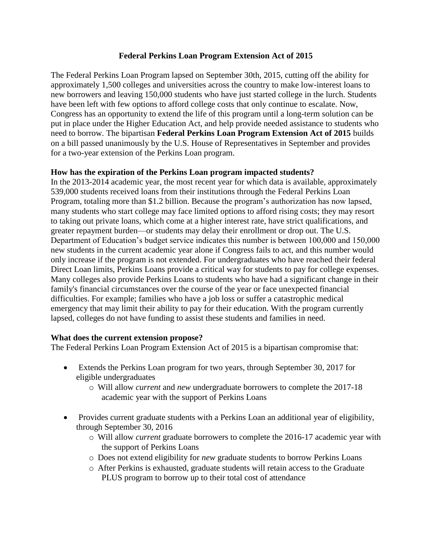## **Federal Perkins Loan Program Extension Act of 2015**

The Federal Perkins Loan Program lapsed on September 30th, 2015, cutting off the ability for approximately 1,500 colleges and universities across the country to make low-interest loans to new borrowers and leaving 150,000 students who have just started college in the lurch. Students have been left with few options to afford college costs that only continue to escalate. Now, Congress has an opportunity to extend the life of this program until a long-term solution can be put in place under the Higher Education Act, and help provide needed assistance to students who need to borrow. The bipartisan **Federal Perkins Loan Program Extension Act of 2015** builds on a bill passed unanimously by the U.S. House of Representatives in September and provides for a two-year extension of the Perkins Loan program.

## **How has the expiration of the Perkins Loan program impacted students?**

In the 2013-2014 academic year, the most recent year for which data is available, approximately 539,000 students received loans from their institutions through the Federal Perkins Loan Program, totaling more than \$1.2 billion. Because the program's authorization has now lapsed, many students who start college may face limited options to afford rising costs; they may resort to taking out private loans, which come at a higher interest rate, have strict qualifications, and greater repayment burden—or students may delay their enrollment or drop out. The U.S. Department of Education's budget service indicates this number is between 100,000 and 150,000 new students in the current academic year alone if Congress fails to act, and this number would only increase if the program is not extended. For undergraduates who have reached their federal Direct Loan limits, Perkins Loans provide a critical way for students to pay for college expenses. Many colleges also provide Perkins Loans to students who have had a significant change in their family's financial circumstances over the course of the year or face unexpected financial difficulties. For example; families who have a job loss or suffer a catastrophic medical emergency that may limit their ability to pay for their education. With the program currently lapsed, colleges do not have funding to assist these students and families in need.

## **What does the current extension propose?**

The Federal Perkins Loan Program Extension Act of 2015 is a bipartisan compromise that:

- Extends the Perkins Loan program for two years, through September 30, 2017 for eligible undergraduates
	- o Will allow *current* and *new* undergraduate borrowers to complete the 2017-18 academic year with the support of Perkins Loans
- Provides current graduate students with a Perkins Loan an additional year of eligibility, through September 30, 2016
	- o Will allow *current* graduate borrowers to complete the 2016-17 academic year with the support of Perkins Loans
	- o Does not extend eligibility for *new* graduate students to borrow Perkins Loans
	- o After Perkins is exhausted, graduate students will retain access to the Graduate PLUS program to borrow up to their total cost of attendance